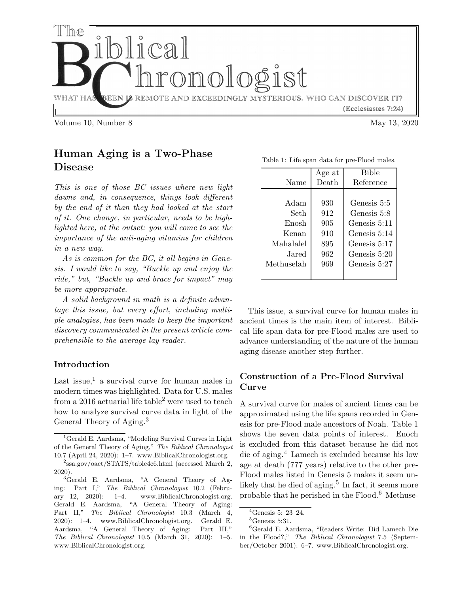

# Human Aging is a Two-Phase Disease

This is one of those BC issues where new light dawns and, in consequence, things look different by the end of it than they had looked at the start of it. One change, in particular, needs to be highlighted here, at the outset: you will come to see the importance of the anti-aging vitamins for children in a new way.

As is common for the BC, it all begins in Genesis. I would like to say, "Buckle up and enjoy the ride," but, "Buckle up and brace for impact" may be more appropriate.

A solid background in math is a definite advantage this issue, but every effort, including multiple analogies, has been made to keep the important discovery communicated in the present article comprehensible to the average lay reader.

# Introduction

Last issue, $1$  a survival curve for human males in modern times was highlighted. Data for U.S. males from a 2016 actuarial life table<sup>2</sup> were used to teach how to analyze survival curve data in light of the General Theory of Aging.<sup>3</sup>

|            | Age at | <b>Bible</b> |
|------------|--------|--------------|
| Name       | Death  | Reference    |
|            |        |              |
| Adam       | 930    | Genesis 5:5  |
| Seth       | 912    | Genesis 5:8  |
| Enosh      | 905    | Genesis 5:11 |
| Kenan      | 910    | Genesis 5:14 |
| Mahalalel  | 895    | Genesis 5:17 |
| Jared.     | 962    | Genesis 5:20 |
| Methuselah | 969    | Genesis 5:27 |
|            |        |              |

Table 1: Life span data for pre-Flood males.

This issue, a survival curve for human males in ancient times is the main item of interest. Biblical life span data for pre-Flood males are used to advance understanding of the nature of the human aging disease another step further.

# Construction of a Pre-Flood Survival Curve

A survival curve for males of ancient times can be approximated using the life spans recorded in Genesis for pre-Flood male ancestors of Noah. Table 1 shows the seven data points of interest. Enoch is excluded from this dataset because he did not die of aging.<sup>4</sup> Lamech is excluded because his low age at death (777 years) relative to the other pre-Flood males listed in Genesis 5 makes it seem unlikely that he died of aging.<sup>5</sup> In fact, it seems more probable that he perished in the  $Flood.^6$  Methuse-

<sup>1</sup>Gerald E. Aardsma, "Modeling Survival Curves in Light of the General Theory of Aging," The Biblical Chronologist 10.7 (April 24, 2020): 1–7. www.BiblicalChronologist.org.

<sup>2</sup> ssa.gov/oact/STATS/table4c6.html (accessed March 2, 2020).

<sup>&</sup>lt;sup>3</sup>Gerald E. Aardsma, "A General Theory of Aging: Part I," The Biblical Chronologist 10.2 (February 12, 2020): 1–4. www.BiblicalChronologist.org. Gerald E. Aardsma, "A General Theory of Aging: Part II," The Biblical Chronologist 10.3 (March 4, 2020): 1–4. www.BiblicalChronologist.org. Gerald E. Aardsma, "A General Theory of Aging: Part III," The Biblical Chronologist 10.5 (March 31, 2020): 1–5. www.BiblicalChronologist.org.

 ${}^{4}$ Genesis 5: 23–24.

 ${}^5$ Genesis 5:31.

<sup>6</sup>Gerald E. Aardsma, "Readers Write: Did Lamech Die in the Flood?," The Biblical Chronologist 7.5 (September/October 2001): 6–7. www.BiblicalChronologist.org.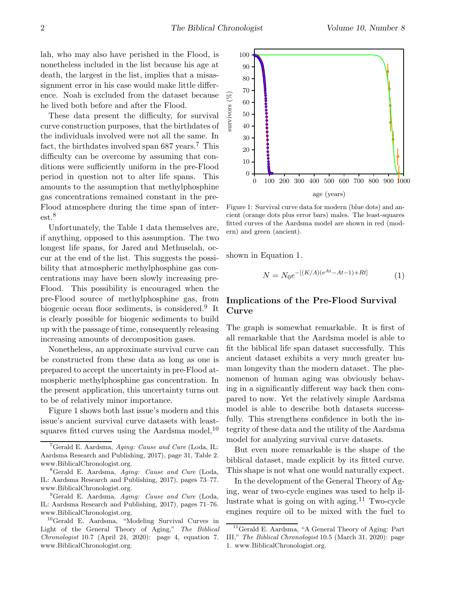lah, who may also have perished in the Flood, is nonetheless included in the list because his age at death, the largest in the list, implies that a misassignment error in his case would make little difference. Noah is excluded from the dataset because he lived both before and after the Flood.

These data present the difficulty, for survival curve construction purposes, that the birthdates of the individuals involved were not all the same. In fact, the birthdates involved span  $687$  years.<sup>7</sup> This difficulty can be overcome by assuming that conditions were sufficiently uniform in the pre-Flood period in question not to alter life spans. This amounts to the assumption that methylphosphine gas concentrations remained constant in the pre-Flood atmosphere during the time span of interest.<sup>8</sup>

Unfortunately, the Table 1 data themselves are, if anything, opposed to this assumption. The two longest life spans, for Jared and Methuselah, occur at the end of the list. This suggests the possibility that atmospheric methylphosphine gas concentrations may have been slowly increasing pre-Flood. This possibility is encouraged when the pre-Flood source of methylphosphine gas, from biogenic ocean floor sediments, is considered.<sup>9</sup> It is clearly possible for biogenic sediments to build up with the passage of time, consequently releasing increasing amounts of decomposition gases.

Nonetheless, an approximate survival curve can be constructed from these data as long as one is prepared to accept the uncertainty in pre-Flood atmospheric methylphosphine gas concentration. In the present application, this uncertainty turns out to be of relatively minor importance.

Figure 1 shows both last issue's modern and this issue's ancient survival curve datasets with leastsquares fitted curves using the Aardsma model,  $^{10}$ 



Figure 1: Survival curve data for modern (blue dots) and ancient (orange dots plus error bars) males. The least-squares fitted curves of the Aardsma model are shown in red (modern) and green (ancient).

shown in Equation 1.

$$
N = N_0 e^{-[(K/A)(e^{At} - At - 1) + Rt]} \tag{1}
$$

# Implications of the Pre-Flood Survival Curve

The graph is somewhat remarkable. It is first of all remarkable that the Aardsma model is able to fit the biblical life span dataset successfully. This ancient dataset exhibits a very much greater human longevity than the modern dataset. The phenomenon of human aging was obviously behaving in a significantly different way back then compared to now. Yet the relatively simple Aardsma model is able to describe both datasets successfully. This strengthens confidence in both the integrity of these data and the utility of the Aardsma model for analyzing survival curve datasets.

But even more remarkable is the shape of the biblical dataset, made explicit by its fitted curve. This shape is not what one would naturally expect.

In the development of the General Theory of Aging, wear of two-cycle engines was used to help illustrate what is going on with aging.<sup>11</sup> Two-cycle engines require oil to be mixed with the fuel to

<sup>&</sup>lt;sup>7</sup>Gerald E. Aardsma, Aging: Cause and Cure (Loda, IL: Aardsma Research and Publishing, 2017), page 31, Table 2. www.BiblicalChronologist.org.

<sup>8</sup>Gerald E. Aardsma, Aging: Cause and Cure (Loda, IL: Aardsma Research and Publishing, 2017), pages 73–77. www.BiblicalChronologist.org.

 $9^9$ Gerald E. Aardsma, Aging: Cause and Cure (Loda, IL: Aardsma Research and Publishing, 2017), pages 71–76. www.BiblicalChronologist.org.

<sup>10</sup>Gerald E. Aardsma, "Modeling Survival Curves in Light of the General Theory of Aging," The Biblical Chronologist 10.7 (April 24, 2020): page 4, equation 7. www.BiblicalChronologist.org.

<sup>11</sup>Gerald E. Aardsma, "A General Theory of Aging: Part III," The Biblical Chronologist 10.5 (March 31, 2020): page 1. www.BiblicalChronologist.org.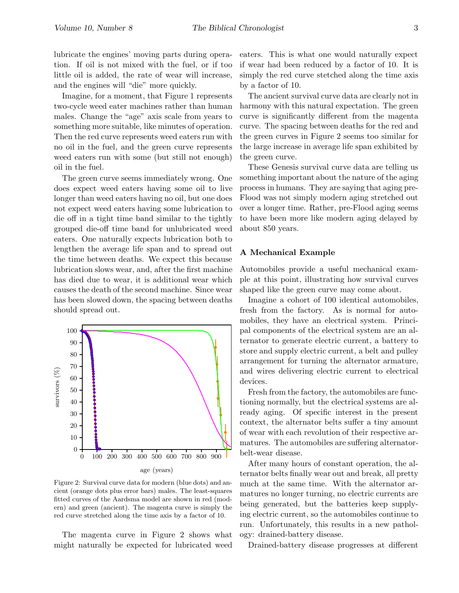lubricate the engines' moving parts during operation. If oil is not mixed with the fuel, or if too little oil is added, the rate of wear will increase, and the engines will "die" more quickly.

Imagine, for a moment, that Figure 1 represents two-cycle weed eater machines rather than human males. Change the "age" axis scale from years to something more suitable, like minutes of operation. Then the red curve represents weed eaters run with no oil in the fuel, and the green curve represents weed eaters run with some (but still not enough) oil in the fuel.

The green curve seems immediately wrong. One does expect weed eaters having some oil to live longer than weed eaters having no oil, but one does not expect weed eaters having some lubrication to die off in a tight time band similar to the tightly grouped die-off time band for unlubricated weed eaters. One naturally expects lubrication both to lengthen the average life span and to spread out the time between deaths. We expect this because lubrication slows wear, and, after the first machine has died due to wear, it is additional wear which causes the death of the second machine. Since wear has been slowed down, the spacing between deaths should spread out.



Figure 2: Survival curve data for modern (blue dots) and ancient (orange dots plus error bars) males. The least-squares fitted curves of the Aardsma model are shown in red (modern) and green (ancient). The magenta curve is simply the red curve stretched along the time axis by a factor of 10.

The magenta curve in Figure 2 shows what might naturally be expected for lubricated weed

eaters. This is what one would naturally expect if wear had been reduced by a factor of 10. It is simply the red curve stetched along the time axis by a factor of 10.

The ancient survival curve data are clearly not in harmony with this natural expectation. The green curve is significantly different from the magenta curve. The spacing between deaths for the red and the green curves in Figure 2 seems too similar for the large increase in average life span exhibited by the green curve.

These Genesis survival curve data are telling us something important about the nature of the aging process in humans. They are saying that aging pre-Flood was not simply modern aging stretched out over a longer time. Rather, pre-Flood aging seems to have been more like modern aging delayed by about 850 years.

#### A Mechanical Example

Automobiles provide a useful mechanical example at this point, illustrating how survival curves shaped like the green curve may come about.

Imagine a cohort of 100 identical automobiles, fresh from the factory. As is normal for automobiles, they have an electrical system. Principal components of the electrical system are an alternator to generate electric current, a battery to store and supply electric current, a belt and pulley arrangement for turning the alternator armature, and wires delivering electric current to electrical devices.

Fresh from the factory, the automobiles are functioning normally, but the electrical systems are already aging. Of specific interest in the present context, the alternator belts suffer a tiny amount of wear with each revolution of their respective armatures. The automobiles are suffering alternatorbelt-wear disease.

After many hours of constant operation, the alternator belts finally wear out and break, all pretty much at the same time. With the alternator armatures no longer turning, no electric currents are being generated, but the batteries keep supplying electric current, so the automobiles continue to run. Unfortunately, this results in a new pathology: drained-battery disease.

Drained-battery disease progresses at different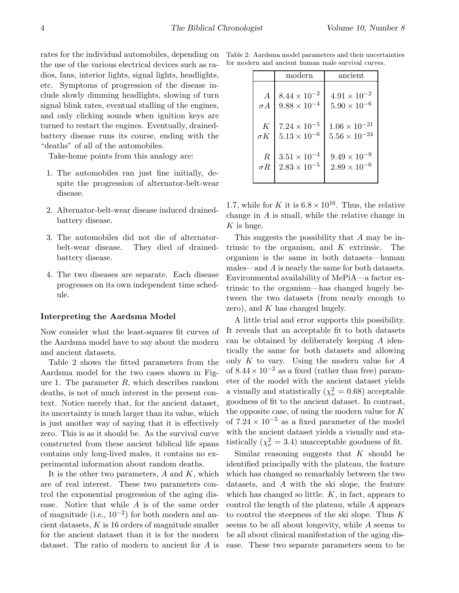rates for the individual automobiles, depending on the use of the various electrical devices such as radios, fans, interior lights, signal lights, headlights, etc. Symptoms of progression of the disease include slowly dimming headlights, slowing of turn signal blink rates, eventual stalling of the engines, and only clicking sounds when ignition keys are turned to restart the engines. Eventually, drainedbattery disease runs its course, ending with the "deaths" of all of the automobiles.

Take-home points from this analogy are:

- 1. The automobiles ran just fine initially, despite the progression of alternator-belt-wear disease.
- 2. Alternator-belt-wear disease induced drainedbattery disease.
- 3. The automobiles did not die of alternatorbelt-wear disease. They died of drainedbattery disease.
- 4. The two diseases are separate. Each disease progresses on its own independent time schedule.

#### Interpreting the Aardsma Model

Now consider what the least-squares fit curves of the Aardsma model have to say about the modern and ancient datasets.

Table 2 shows the fitted parameters from the Aardsma model for the two cases shown in Figure 1. The parameter  $R$ , which describes random deaths, is not of much interest in the present context. Notice merely that, for the ancient dataset, its uncertainty is much larger than its value, which is just another way of saying that it is effectively zero. This is as it should be. As the survival curve constructed from these ancient biblical life spans contains only long-lived males, it contains no experimental information about random deaths.

It is the other two parameters,  $A$  and  $K$ , which are of real interest. These two parameters control the exponential progression of the aging disease. Notice that while A is of the same order of magnitude (i.e.,  $10^{-2}$ ) for both modern and ancient datasets,  $K$  is 16 orders of magnitude smaller for the ancient dataset than it is for the modern dataset. The ratio of modern to ancient for A is

|  |  | Table 2: Aardsma model parameters and their uncertainties |  |  |  |  |
|--|--|-----------------------------------------------------------|--|--|--|--|
|  |  | for modern and ancient human male survival curves.        |  |  |  |  |

|                | modern                | ancient                |  |  |
|----------------|-----------------------|------------------------|--|--|
| $\overline{A}$ | $8.44 \times 10^{-2}$ | $4.91 \times 10^{-2}$  |  |  |
| $\sigma A$     | $9.88\times10^{-4}$   | $5.90 \times 10^{-6}$  |  |  |
| K              | $7.24 \times 10^{-5}$ | $1.06 \times 10^{-21}$ |  |  |
| $\sigma K$     | $5.13\times10^{-6}$   | $5.56 \times 10^{-24}$ |  |  |
| R              | $3.51 \times 10^{-4}$ | $9.49 \times 10^{-9}$  |  |  |
| $\sigma R$     | $2.83\times10^{-5}$   | $2.89 \times 10^{-6}$  |  |  |

1.7, while for K it is  $6.8 \times 10^{16}$ . Thus, the relative change in A is small, while the relative change in  $K$  is huge.

This suggests the possibility that A may be intrinsic to the organism, and  $K$  extrinsic. The organism is the same in both datasets—human males—and A is nearly the same for both datasets. Environmental availability of MePiA—a factor extrinsic to the organism—has changed hugely between the two datasets (from nearly enough to zero), and  $K$  has changed hugely.

A little trial and error supports this possibility. It reveals that an acceptable fit to both datasets can be obtained by deliberately keeping A identically the same for both datasets and allowing only K to vary. Using the modern value for A of  $8.44 \times 10^{-2}$  as a fixed (rather than free) parameter of the model with the ancient dataset yields a visually and statistically ( $\chi^2_{\nu} = 0.68$ ) acceptable goodness of fit to the ancient dataset. In contrast, the opposite case, of using the modern value for  $K$ of  $7.24 \times 10^{-5}$  as a fixed parameter of the model with the ancient dataset yields a visually and statistically  $(\chi^2_{\nu} = 3.4)$  unacceptable goodness of fit.

Similar reasoning suggests that  $K$  should be identified principally with the plateau, the feature which has changed so remarkably between the two datasets, and A with the ski slope, the feature which has changed so little.  $K$ , in fact, appears to control the length of the plateau, while A appears to control the steepness of the ski slope. Thus  $K$ seems to be all about longevity, while A seems to be all about clinical manifestation of the aging disease. These two separate parameters seem to be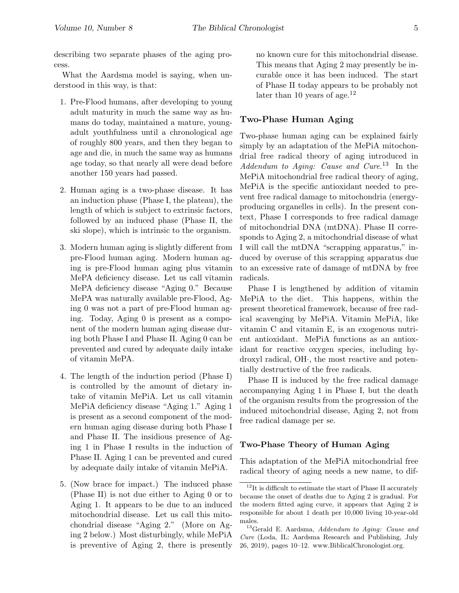describing two separate phases of the aging process.

What the Aardsma model is saying, when understood in this way, is that:

- 1. Pre-Flood humans, after developing to young adult maturity in much the same way as humans do today, maintained a mature, youngadult youthfulness until a chronological age of roughly 800 years, and then they began to age and die, in much the same way as humans age today, so that nearly all were dead before another 150 years had passed.
- 2. Human aging is a two-phase disease. It has an induction phase (Phase I, the plateau), the length of which is subject to extrinsic factors, followed by an induced phase (Phase II, the ski slope), which is intrinsic to the organism.
- 3. Modern human aging is slightly different from pre-Flood human aging. Modern human aging is pre-Flood human aging plus vitamin MePA deficiency disease. Let us call vitamin MePA deficiency disease "Aging 0." Because MePA was naturally available pre-Flood, Aging 0 was not a part of pre-Flood human aging. Today, Aging 0 is present as a component of the modern human aging disease during both Phase I and Phase II. Aging 0 can be prevented and cured by adequate daily intake of vitamin MePA.
- 4. The length of the induction period (Phase I) is controlled by the amount of dietary intake of vitamin MePiA. Let us call vitamin MePiA deficiency disease "Aging 1." Aging 1 is present as a second component of the modern human aging disease during both Phase I and Phase II. The insidious presence of Aging 1 in Phase I results in the induction of Phase II. Aging 1 can be prevented and cured by adequate daily intake of vitamin MePiA.
- 5. (Now brace for impact.) The induced phase (Phase II) is not due either to Aging 0 or to Aging 1. It appears to be due to an induced mitochondrial disease. Let us call this mitochondrial disease "Aging 2." (More on Aging 2 below.) Most disturbingly, while MePiA is preventive of Aging 2, there is presently

no known cure for this mitochondrial disease. This means that Aging 2 may presently be incurable once it has been induced. The start of Phase II today appears to be probably not later than 10 years of age.<sup>12</sup>

# Two-Phase Human Aging

Two-phase human aging can be explained fairly simply by an adaptation of the MePiA mitochondrial free radical theory of aging introduced in Addendum to Aging: Cause and Cure.<sup>13</sup> In the MePiA mitochondrial free radical theory of aging, MePiA is the specific antioxidant needed to prevent free radical damage to mitochondria (energyproducing organelles in cells). In the present context, Phase I corresponds to free radical damage of mitochondrial DNA (mtDNA). Phase II corresponds to Aging 2, a mitochondrial disease of what I will call the mtDNA "scrapping apparatus," induced by overuse of this scrapping apparatus due to an excessive rate of damage of mtDNA by free radicals.

Phase I is lengthened by addition of vitamin MePiA to the diet. This happens, within the present theoretical framework, because of free radical scavenging by MePiA. Vitamin MePiA, like vitamin C and vitamin E, is an exogenous nutrient antioxidant. MePiA functions as an antioxidant for reactive oxygen species, including hydroxyl radical, OH·, the most reactive and potentially destructive of the free radicals.

Phase II is induced by the free radical damage accompanying Aging 1 in Phase I, but the death of the organism results from the progression of the induced mitochondrial disease, Aging 2, not from free radical damage per se.

## Two-Phase Theory of Human Aging

This adaptation of the MePiA mitochondrial free radical theory of aging needs a new name, to dif-

 $12$ It is difficult to estimate the start of Phase II accurately because the onset of deaths due to Aging 2 is gradual. For the modern fitted aging curve, it appears that Aging 2 is responsible for about 1 death per 10,000 living 10-year-old males.

<sup>13</sup>Gerald E. Aardsma, Addendum to Aging: Cause and Cure (Loda, IL: Aardsma Research and Publishing, July 26, 2019), pages 10–12. www.BiblicalChronologist.org.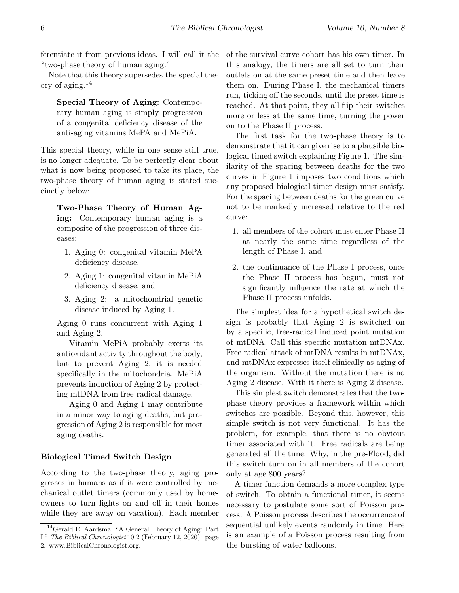ferentiate it from previous ideas. I will call it the "two-phase theory of human aging."

Note that this theory supersedes the special theory of aging.<sup>14</sup>

Special Theory of Aging: Contemporary human aging is simply progression of a congenital deficiency disease of the anti-aging vitamins MePA and MePiA.

This special theory, while in one sense still true, is no longer adequate. To be perfectly clear about what is now being proposed to take its place, the two-phase theory of human aging is stated succinctly below:

Two-Phase Theory of Human Aging: Contemporary human aging is a composite of the progression of three diseases:

- 1. Aging 0: congenital vitamin MePA deficiency disease,
- 2. Aging 1: congenital vitamin MePiA deficiency disease, and
- 3. Aging 2: a mitochondrial genetic disease induced by Aging 1.

Aging 0 runs concurrent with Aging 1 and Aging 2.

Vitamin MePiA probably exerts its antioxidant activity throughout the body, but to prevent Aging 2, it is needed specifically in the mitochondria. MePiA prevents induction of Aging 2 by protecting mtDNA from free radical damage.

Aging 0 and Aging 1 may contribute in a minor way to aging deaths, but progression of Aging 2 is responsible for most aging deaths.

## Biological Timed Switch Design

According to the two-phase theory, aging progresses in humans as if it were controlled by mechanical outlet timers (commonly used by homeowners to turn lights on and off in their homes while they are away on vacation). Each member of the survival curve cohort has his own timer. In this analogy, the timers are all set to turn their outlets on at the same preset time and then leave them on. During Phase I, the mechanical timers run, ticking off the seconds, until the preset time is reached. At that point, they all flip their switches more or less at the same time, turning the power on to the Phase II process.

The first task for the two-phase theory is to demonstrate that it can give rise to a plausible biological timed switch explaining Figure 1. The similarity of the spacing between deaths for the two curves in Figure 1 imposes two conditions which any proposed biological timer design must satisfy. For the spacing between deaths for the green curve not to be markedly increased relative to the red curve:

- 1. all members of the cohort must enter Phase II at nearly the same time regardless of the length of Phase I, and
- 2. the continuance of the Phase I process, once the Phase II process has begun, must not significantly influence the rate at which the Phase II process unfolds.

The simplest idea for a hypothetical switch design is probably that Aging 2 is switched on by a specific, free-radical induced point mutation of mtDNA. Call this specific mutation mtDNAx. Free radical attack of mtDNA results in mtDNAx, and mtDNAx expresses itself clinically as aging of the organism. Without the mutation there is no Aging 2 disease. With it there is Aging 2 disease.

This simplest switch demonstrates that the twophase theory provides a framework within which switches are possible. Beyond this, however, this simple switch is not very functional. It has the problem, for example, that there is no obvious timer associated with it. Free radicals are being generated all the time. Why, in the pre-Flood, did this switch turn on in all members of the cohort only at age 800 years?

A timer function demands a more complex type of switch. To obtain a functional timer, it seems necessary to postulate some sort of Poisson process. A Poisson process describes the occurrence of sequential unlikely events randomly in time. Here is an example of a Poisson process resulting from the bursting of water balloons.

<sup>14</sup>Gerald E. Aardsma, "A General Theory of Aging: Part I," The Biblical Chronologist 10.2 (February 12, 2020): page 2. www.BiblicalChronologist.org.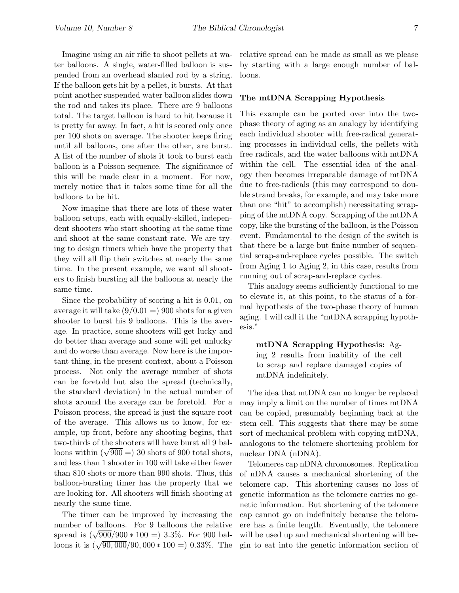Imagine using an air rifle to shoot pellets at water balloons. A single, water-filled balloon is suspended from an overhead slanted rod by a string. If the balloon gets hit by a pellet, it bursts. At that point another suspended water balloon slides down the rod and takes its place. There are 9 balloons total. The target balloon is hard to hit because it is pretty far away. In fact, a hit is scored only once per 100 shots on average. The shooter keeps firing until all balloons, one after the other, are burst. A list of the number of shots it took to burst each balloon is a Poisson sequence. The significance of this will be made clear in a moment. For now, merely notice that it takes some time for all the balloons to be hit.

Now imagine that there are lots of these water balloon setups, each with equally-skilled, independent shooters who start shooting at the same time and shoot at the same constant rate. We are trying to design timers which have the property that they will all flip their switches at nearly the same time. In the present example, we want all shooters to finish bursting all the balloons at nearly the same time.

Since the probability of scoring a hit is 0.01, on average it will take  $(9/0.01 = 900$  shots for a given shooter to burst his 9 balloons. This is the average. In practice, some shooters will get lucky and do better than average and some will get unlucky and do worse than average. Now here is the important thing, in the present context, about a Poisson process. Not only the average number of shots can be foretold but also the spread (technically, the standard deviation) in the actual number of shots around the average can be foretold. For a Poisson process, the spread is just the square root of the average. This allows us to know, for example, up front, before any shooting begins, that two-thirds of the shooters will have burst all 9 balloons within  $(\sqrt{900}) = 30$  shots of 900 total shots, and less than 1 shooter in 100 will take either fewer than 810 shots or more than 990 shots. Thus, this balloon-bursting timer has the property that we are looking for. All shooters will finish shooting at nearly the same time.

The timer can be improved by increasing the number of balloons. For 9 balloons the relative spread is  $(\sqrt{900}/900 * 100) = 3.3\%$ . For 900 balloons it is  $(\sqrt{90,000}/90,000 * 100 = 0.33\%$ . The

relative spread can be made as small as we please by starting with a large enough number of balloons.

## The mtDNA Scrapping Hypothesis

This example can be ported over into the twophase theory of aging as an analogy by identifying each individual shooter with free-radical generating processes in individual cells, the pellets with free radicals, and the water balloons with mtDNA within the cell. The essential idea of the analogy then becomes irreparable damage of mtDNA due to free-radicals (this may correspond to double strand breaks, for example, and may take more than one "hit" to accomplish) necessitating scrapping of the mtDNA copy. Scrapping of the mtDNA copy, like the bursting of the balloon, is the Poisson event. Fundamental to the design of the switch is that there be a large but finite number of sequential scrap-and-replace cycles possible. The switch from Aging 1 to Aging 2, in this case, results from running out of scrap-and-replace cycles.

This analogy seems sufficiently functional to me to elevate it, at this point, to the status of a formal hypothesis of the two-phase theory of human aging. I will call it the "mtDNA scrapping hypothesis."

mtDNA Scrapping Hypothesis: Aging 2 results from inability of the cell to scrap and replace damaged copies of mtDNA indefinitely.

The idea that mtDNA can no longer be replaced may imply a limit on the number of times mtDNA can be copied, presumably beginning back at the stem cell. This suggests that there may be some sort of mechanical problem with copying mtDNA, analogous to the telomere shortening problem for nuclear DNA (nDNA).

Telomeres cap nDNA chromosomes. Replication of nDNA causes a mechanical shortening of the telomere cap. This shortening causes no loss of genetic information as the telomere carries no genetic information. But shortening of the telomere cap cannot go on indefinitely because the telomere has a finite length. Eventually, the telomere will be used up and mechanical shortening will begin to eat into the genetic information section of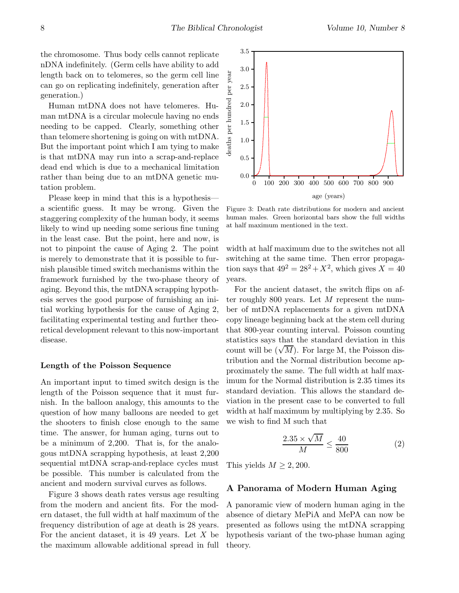the chromosome. Thus body cells cannot replicate nDNA indefinitely. (Germ cells have ability to add length back on to telomeres, so the germ cell line can go on replicating indefinitely, generation after generation.)

Human mtDNA does not have telomeres. Human mtDNA is a circular molecule having no ends needing to be capped. Clearly, something other than telomere shortening is going on with mtDNA. But the important point which I am tying to make is that mtDNA may run into a scrap-and-replace dead end which is due to a mechanical limitation rather than being due to an mtDNA genetic mutation problem.

Please keep in mind that this is a hypothesis a scientific guess. It may be wrong. Given the staggering complexity of the human body, it seems likely to wind up needing some serious fine tuning in the least case. But the point, here and now, is not to pinpoint the cause of Aging 2. The point is merely to demonstrate that it is possible to furnish plausible timed switch mechanisms within the framework furnished by the two-phase theory of aging. Beyond this, the mtDNA scrapping hypothesis serves the good purpose of furnishing an initial working hypothesis for the cause of Aging 2, facilitating experimental testing and further theoretical development relevant to this now-important disease.

## Length of the Poisson Sequence

An important input to timed switch design is the length of the Poisson sequence that it must furnish. In the balloon analogy, this amounts to the question of how many balloons are needed to get the shooters to finish close enough to the same time. The answer, for human aging, turns out to be a minimum of 2,200. That is, for the analogous mtDNA scrapping hypothesis, at least 2,200 sequential mtDNA scrap-and-replace cycles must be possible. This number is calculated from the ancient and modern survival curves as follows.

Figure 3 shows death rates versus age resulting from the modern and ancient fits. For the modern dataset, the full width at half maximum of the frequency distribution of age at death is 28 years. For the ancient dataset, it is 49 years. Let  $X$  be the maximum allowable additional spread in full



Figure 3: Death rate distributions for modern and ancient human males. Green horizontal bars show the full widths at half maximum mentioned in the text.

width at half maximum due to the switches not all switching at the same time. Then error propagation says that  $49^2 = 28^2 + X^2$ , which gives  $X = 40$ years.

For the ancient dataset, the switch flips on after roughly 800 years. Let M represent the number of mtDNA replacements for a given mtDNA copy lineage beginning back at the stem cell during that 800-year counting interval. Poisson counting statistics says that the standard deviation in this count will be  $(\sqrt{M})$ . For large M, the Poisson distribution and the Normal distribution become approximately the same. The full width at half maximum for the Normal distribution is 2.35 times its standard deviation. This allows the standard deviation in the present case to be converted to full width at half maximum by multiplying by 2.35. So we wish to find M such that

$$
\frac{2.35 \times \sqrt{M}}{M} \le \frac{40}{800} \tag{2}
$$

This yields  $M \geq 2,200$ .

## A Panorama of Modern Human Aging

A panoramic view of modern human aging in the absence of dietary MePiA and MePA can now be presented as follows using the mtDNA scrapping hypothesis variant of the two-phase human aging theory.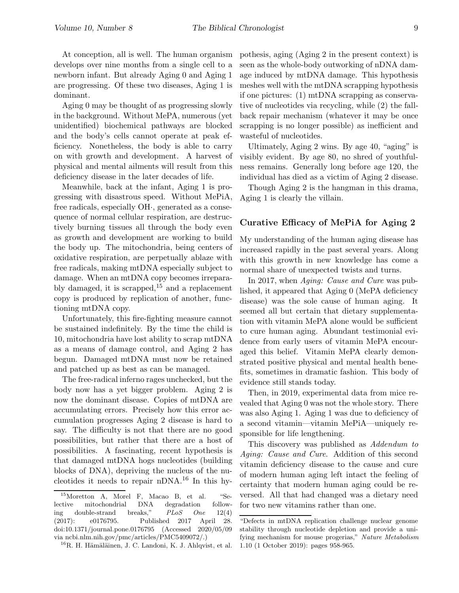At conception, all is well. The human organism develops over nine months from a single cell to a newborn infant. But already Aging 0 and Aging 1 are progressing. Of these two diseases, Aging 1 is dominant.

Aging 0 may be thought of as progressing slowly in the background. Without MePA, numerous (yet unidentified) biochemical pathways are blocked and the body's cells cannot operate at peak efficiency. Nonetheless, the body is able to carry on with growth and development. A harvest of physical and mental ailments will result from this deficiency disease in the later decades of life.

Meanwhile, back at the infant, Aging 1 is progressing with disastrous speed. Without MePiA, free radicals, especially OH·, generated as a consequence of normal cellular respiration, are destructively burning tissues all through the body even as growth and development are working to build the body up. The mitochondria, being centers of oxidative respiration, are perpetually ablaze with free radicals, making mtDNA especially subject to damage. When an mtDNA copy becomes irreparably damaged, it is scrapped,  $15$  and a replacement copy is produced by replication of another, functioning mtDNA copy.

Unfortunately, this fire-fighting measure cannot be sustained indefinitely. By the time the child is 10, mitochondria have lost ability to scrap mtDNA as a means of damage control, and Aging 2 has begun. Damaged mtDNA must now be retained and patched up as best as can be managed.

The free-radical inferno rages unchecked, but the body now has a yet bigger problem. Aging 2 is now the dominant disease. Copies of mtDNA are accumulating errors. Precisely how this error accumulation progresses Aging 2 disease is hard to say. The difficulty is not that there are no good possibilities, but rather that there are a host of possibilities. A fascinating, recent hypothesis is that damaged mtDNA hogs nucleotides (building blocks of DNA), depriving the nucleus of the nucleotides it needs to repair nDNA.<sup>16</sup> In this hy-

pothesis, aging (Aging 2 in the present context) is seen as the whole-body outworking of nDNA damage induced by mtDNA damage. This hypothesis meshes well with the mtDNA scrapping hypothesis if one pictures: (1) mtDNA scrapping as conservative of nucleotides via recycling, while (2) the fallback repair mechanism (whatever it may be once scrapping is no longer possible) as inefficient and wasteful of nucleotides.

Ultimately, Aging 2 wins. By age 40, "aging" is visibly evident. By age 80, no shred of youthfulness remains. Generally long before age 120, the individual has died as a victim of Aging 2 disease.

Though Aging 2 is the hangman in this drama, Aging 1 is clearly the villain.

## Curative Efficacy of MePiA for Aging 2

My understanding of the human aging disease has increased rapidly in the past several years. Along with this growth in new knowledge has come a normal share of unexpected twists and turns.

In 2017, when Aging: Cause and Cure was published, it appeared that Aging 0 (MePA deficiency disease) was the sole cause of human aging. It seemed all but certain that dietary supplementation with vitamin MePA alone would be sufficient to cure human aging. Abundant testimonial evidence from early users of vitamin MePA encouraged this belief. Vitamin MePA clearly demonstrated positive physical and mental health benefits, sometimes in dramatic fashion. This body of evidence still stands today.

Then, in 2019, experimental data from mice revealed that Aging 0 was not the whole story. There was also Aging 1. Aging 1 was due to deficiency of a second vitamin—vitamin MePiA—uniquely responsible for life lengthening.

This discovery was published as Addendum to Aging: Cause and Cure. Addition of this second vitamin deficiency disease to the cause and cure of modern human aging left intact the feeling of certainty that modern human aging could be reversed. All that had changed was a dietary need for two new vitamins rather than one.

<sup>15</sup>Moretton A, Morel F, Macao B, et al. "Selective mitochondrial DNA degradation following double-strand breaks," PLoS One 12(4) (2017): e0176795. Published 2017 April 28. doi:10.1371/journal.pone.0176795 (Accessed 2020/05/09 via ncbi.nlm.nih.gov/pmc/articles/PMC5409072/.)

 ${}^{16}R$ . H. Hämäläinen, J. C. Landoni, K. J. Ahlqvist, et al.

<sup>&</sup>quot;Defects in mtDNA replication challenge nuclear genome stability through nucleotide depletion and provide a unifying mechanism for mouse progerias," Nature Metabolism 1.10 (1 October 2019): pages 958-965.